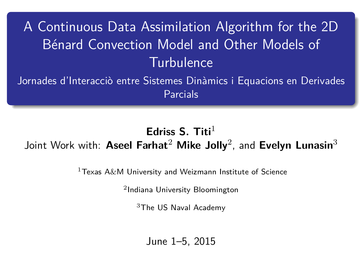# A Continuous Data Assimilation Algorithm for the 2D Bénard Convection Model and Other Models of **Turbulence**

Jornades d'Interacciò entre Sistemes Dinàmics i Equacions en Derivades Parcials

## **Edriss S. Titi**<sup>1</sup> Joint Work with: **Aseel Farhat**<sup>2</sup> **Mike Jolly**<sup>2</sup> , and **Evelyn Lunasin**<sup>3</sup>

<span id="page-0-0"></span> $1$ Texas A&M University and Weizmann Institute of Science

2 Indiana University Bloomington

<sup>3</sup>The US Naval Academy

June 1–5, 2015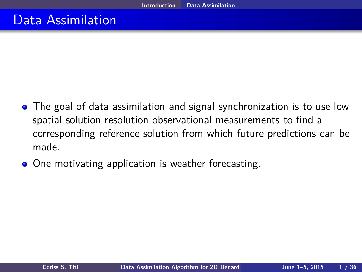## Data Assimilation

- The goal of data assimilation and signal synchronization is to use low spatial solution resolution observational measurements to find a corresponding reference solution from which future predictions can be made.
- <span id="page-1-0"></span>• One motivating application is weather forecasting.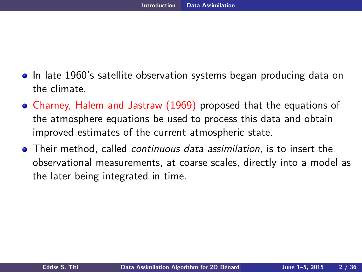- In late 1960's satellite observation systems began producing data on the climate.
- Charney, Halem and Jastraw (1969) proposed that the equations of the atmosphere equations be used to process this data and obtain improved estimates of the current atmospheric state.
- <span id="page-2-0"></span>Their method, called continuous data assimilation, is to insert the observational measurements, at coarse scales, directly into a model as the later being integrated in time.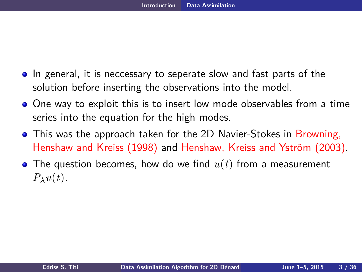- In general, it is neccessary to seperate slow and fast parts of the solution before inserting the observations into the model.
- One way to exploit this is to insert low mode observables from a time series into the equation for the high modes.
- This was the approach taken for the 2D Navier-Stokes in Browning. Henshaw and Kreiss (1998) and Henshaw, Kreiss and Yström (2003).
- <span id="page-3-0"></span>The question becomes, how do we find *u*(*t*) from a measurement  $P_\lambda u(t)$ .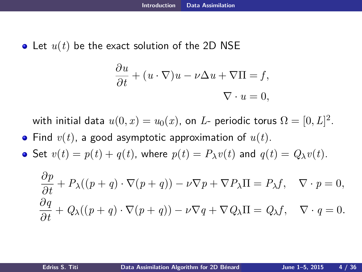• Let  $u(t)$  be the exact solution of the 2D NSE

<span id="page-4-0"></span>
$$
\frac{\partial u}{\partial t} + (u \cdot \nabla)u - \nu \Delta u + \nabla \Pi = f,
$$
  

$$
\nabla \cdot u = 0,
$$

with initial data  $u(0,x)=u_0(x)$ , on  $L$ - periodic torus  $\Omega=[0,L]^2.$ 

• Find  $v(t)$ , a good asymptotic approximation of  $u(t)$ .

• Set  $v(t) = p(t) + q(t)$ , where  $p(t) = P_\lambda v(t)$  and  $q(t) = Q_\lambda v(t)$ .

$$
\frac{\partial p}{\partial t} + P_{\lambda}((p+q) \cdot \nabla(p+q)) - \nu \nabla p + \nabla P_{\lambda} \Pi = P_{\lambda} f, \quad \nabla \cdot p = 0,
$$
  

$$
\frac{\partial q}{\partial t} + Q_{\lambda}((p+q) \cdot \nabla(p+q)) - \nu \nabla q + \nabla Q_{\lambda} \Pi = Q_{\lambda} f, \quad \nabla \cdot q = 0.
$$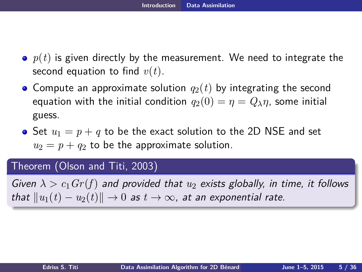- $\rho$   $p(t)$  is given directly by the measurement. We need to integrate the second equation to find *v*(*t*).
- Compute an approximate solution  $q_2(t)$  by integrating the second equation with the initial condition  $q_2(0) = \eta = Q_\lambda \eta$ , some initial guess.
- Set  $u_1 = p + q$  to be the exact solution to the 2D NSE and set  $u_2 = p + q_2$  to be the approximate solution.

#### Theorem (Olson and Titi, 2003)

<span id="page-5-0"></span>Given  $\lambda > c_1$  Gr(f) and provided that  $u_2$  exists globally, in time, it follows that  $||u_1(t) - u_2(t)|| \rightarrow 0$  as  $t \rightarrow \infty$ , at an exponential rate.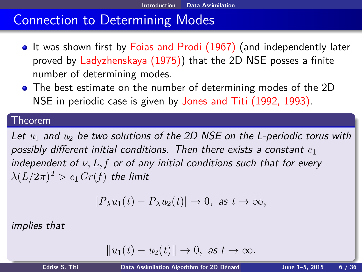## Connection to Determining Modes

- It was shown first by Foias and Prodi (1967) (and independently later proved by Ladyzhenskaya (1975)) that the 2D NSE posses a finite number of determining modes.
- The best estimate on the number of determining modes of the 2D NSE in periodic case is given by Jones and Titi (1992, 1993).

#### Theorem

Let  $u_1$  and  $u_2$  be two solutions of the 2D NSE on the L-periodic torus with possibly different initial conditions. Then there exists a constant *c*<sup>1</sup> independent of *ν, L, f* or of any initial conditions such that for every  $\lambda(L/2\pi)^2 > c_1\,Gr(f)$  the limit

$$
|P_\lambda u_1(t) - P_\lambda u_2(t)| \to 0, \text{ as } t \to \infty,
$$

implies that

<span id="page-6-0"></span>
$$
||u_1(t) - u_2(t)|| \to 0, \text{ as } t \to \infty.
$$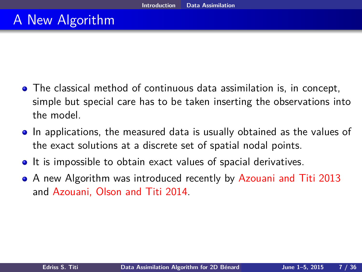## A New Algorithm

- The classical method of continuous data assimilation is, in concept, simple but special care has to be taken inserting the observations into the model.
- In applications, the measured data is usually obtained as the values of the exact solutions at a discrete set of spatial nodal points.
- **It is impossible to obtain exact values of spacial derivatives.**
- <span id="page-7-0"></span>A new Algorithm was introduced recently by Azouani and Titi 2013 and Azouani, Olson and Titi 2014.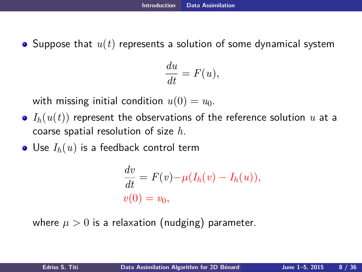Suppose that *u*(*t*) represents a solution of some dynamical system

$$
\frac{du}{dt} = F(u),
$$

with missing initial condition  $u(0) = u_0$ .

- $I_h(u(t))$  represent the observations of the reference solution *u* at a coarse spatial resolution of size *h*.
- $\bullet$  Use  $I_h(u)$  is a feedback control term

<span id="page-8-0"></span>
$$
\frac{dv}{dt} = F(v) - \mu(I_h(v) - I_h(u)),
$$
  

$$
v(0) = v_0,
$$

where  $\mu > 0$  is a relaxation (nudging) parameter.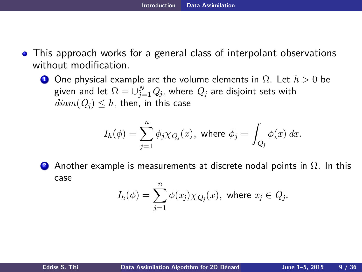- This approach works for a general class of interpolant observations without modification.
	- **<sup>1</sup>** One physical example are the volume elements in Ω. Let *h >* 0 be given and let  $\Omega=\cup_{j=1}^N Q_j$ , where  $Q_j$  are disjoint sets with  $diam(Q_i) \leq h$ , then, in this case

$$
I_h(\phi) = \sum_{j=1}^n \bar{\phi}_j \chi_{Q_j}(x), \text{ where } \bar{\phi}_j = \int_{Q_j} \phi(x) dx.
$$

**<sup>2</sup>** Another example is measurements at discrete nodal points in Ω. In this case

<span id="page-9-0"></span>
$$
I_h(\phi) = \sum_{j=1}^n \phi(x_j) \chi_{Q_j}(x), \text{ where } x_j \in Q_j.
$$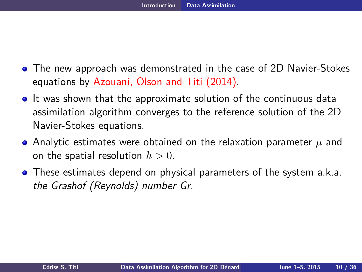- The new approach was demonstrated in the case of 2D Navier-Stokes equations by Azouani, Olson and Titi (2014).
- **It was shown that the approximate solution of the continuous data** assimilation algorithm converges to the reference solution of the 2D Navier-Stokes equations.
- Analytic estimates were obtained on the relaxation parameter *µ* and on the spatial resolution  $h > 0$ .
- <span id="page-10-0"></span>**•** These estimates depend on physical parameters of the system a.k.a. the Grashof (Reynolds) number Gr.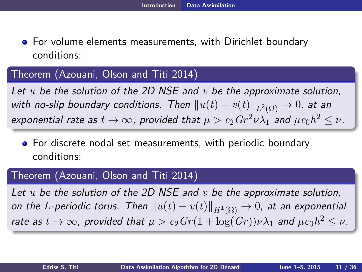For volume elements measurements, with Dirichlet boundary conditions:

### Theorem (Azouani, Olson and Titi 2014)

Let *u* be the solution of the 2D NSE and *v* be the approximate solution, with no-slip boundary conditions. Then  $\|u(t)-v(t)\|_{L^2(\Omega)}\to 0$ , at an  $\epsilon$ xponential rate as  $t\to\infty$ , provided that  $\mu>c_2Gr^2\nu\lambda_1$  and  $\mu c_0h^2\leq\nu$ .

**•** For discrete nodal set measurements, with periodic boundary conditions:

### Theorem (Azouani, Olson and Titi 2014)

<span id="page-11-0"></span>Let *u* be the solution of the 2D NSE and *v* be the approximate solution, on the  $L$ -periodic torus. Then  $\|u(t)-v(t)\|_{H^1(\Omega)}\to 0$ , at an exponential rate as  $t\to\infty$ , provided that  $\mu>c_2Gr(1+\log (Gr))\nu\lambda_1$  and  $\mu c_0h^2\leq \nu.$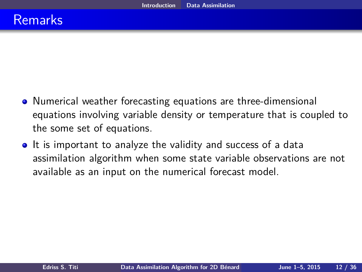- Numerical weather forecasting equations are three-dimensional equations involving variable density or temperature that is coupled to the some set of equations.
- <span id="page-12-0"></span>• It is important to analyze the validity and success of a data assimilation algorithm when some state variable observations are not available as an input on the numerical forecast model.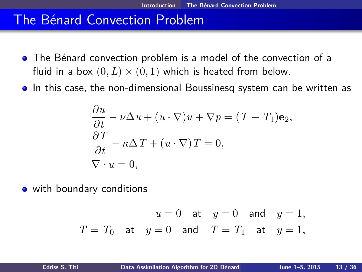## The Bénard Convection Problem

- The Bénard convection problem is a model of the convection of a fluid in a box  $(0, L) \times (0, 1)$  which is heated from below.
- In this case, the non-dimensional Boussinesq system can be written as

$$
\frac{\partial u}{\partial t} - \nu \Delta u + (u \cdot \nabla)u + \nabla p = (T - T_1)\mathbf{e}_2,
$$
  

$$
\frac{\partial T}{\partial t} - \kappa \Delta T + (u \cdot \nabla)T = 0,
$$
  

$$
\nabla \cdot u = 0,
$$

• with boundary conditions

<span id="page-13-0"></span>
$$
u = 0
$$
 at  $y = 0$  and  $y = 1$ ,  
\n $T = T_0$  at  $y = 0$  and  $T = T_1$  at  $y = 1$ ,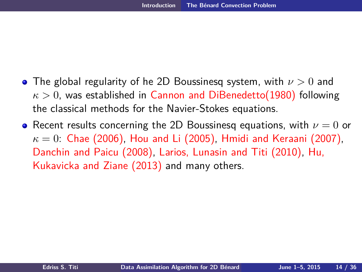- The global regularity of he 2D Boussinesq system, with *ν >* 0 and *κ >* 0, was established in Cannon and DiBenedetto(1980) following the classical methods for the Navier-Stokes equations.
- <span id="page-14-0"></span>**•** Recent results concerning the 2D Boussinesq equations, with  $ν = 0$  or  $\kappa = 0$ : Chae (2006), Hou and Li (2005), Hmidi and Keraani (2007), Danchin and Paicu (2008), Larios, Lunasin and Titi (2010), Hu, Kukavicka and Ziane (2013) and many others.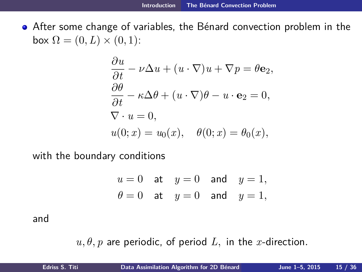• After some change of variables, the Bénard convection problem in the  $\mathsf{box} \Omega = (0, L) \times (0, 1)$ :

$$
\frac{\partial u}{\partial t} - \nu \Delta u + (u \cdot \nabla)u + \nabla p = \theta \mathbf{e}_2,
$$
  

$$
\frac{\partial \theta}{\partial t} - \kappa \Delta \theta + (u \cdot \nabla)\theta - u \cdot \mathbf{e}_2 = 0,
$$
  

$$
\nabla \cdot u = 0,
$$
  

$$
u(0; x) = u_0(x), \quad \theta(0; x) = \theta_0(x),
$$

with the boundary conditions

<span id="page-15-0"></span>
$$
u = 0 \quad \text{at} \quad y = 0 \quad \text{and} \quad y = 1,
$$
  

$$
\theta = 0 \quad \text{at} \quad y = 0 \quad \text{and} \quad y = 1,
$$

and

 $u, \theta, p$  are periodic, of period  $L$ , in the *x*-direction.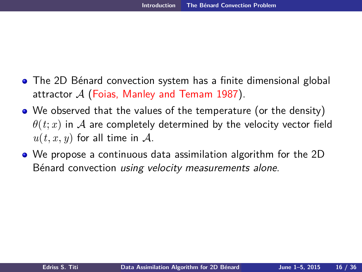- The 2D Bénard convection system has a finite dimensional global attractor  $A$  (Foias, Manley and Temam 1987).
- We observed that the values of the temperature (or the density)  $\theta(t; x)$  in A are completely determined by the velocity vector field  $u(t, x, y)$  for all time in A.
- <span id="page-16-0"></span>We propose a continuous data assimilation algorithm for the 2D Bénard convection using velocity measurements alone.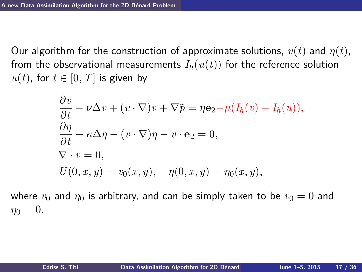Our algorithm for the construction of approximate solutions,  $v(t)$  and  $\eta(t)$ , from the observational measurements  $I_h(u(t))$  for the reference solution *u*(*t*), for *t* ∈ [0, *T*] is given by

<span id="page-17-0"></span>
$$
\frac{\partial v}{\partial t} - \nu \Delta v + (v \cdot \nabla)v + \nabla \tilde{p} = \eta \mathbf{e}_2 - \mu (I_h(v) - I_h(u)),
$$
  
\n
$$
\frac{\partial \eta}{\partial t} - \kappa \Delta \eta - (v \cdot \nabla)\eta - v \cdot \mathbf{e}_2 = 0,
$$
  
\n
$$
\nabla \cdot v = 0,
$$
  
\n
$$
U(0, x, y) = v_0(x, y), \quad \eta(0, x, y) = \eta_0(x, y),
$$

where  $v_0$  and  $\eta_0$  is arbitrary, and can be simply taken to be  $v_0 = 0$  and  $\eta_0 = 0.$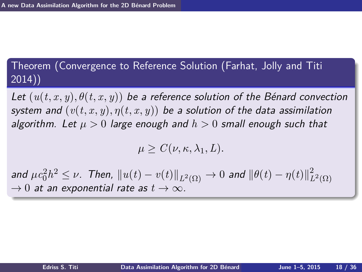## Theorem (Convergence to Reference Solution (Farhat, Jolly and Titi 2014))

Let  $(u(t, x, y), \theta(t, x, y))$  be a reference solution of the Bénard convection system and  $(v(t, x, y), \eta(t, x, y))$  be a solution of the data assimilation algorithm. Let *µ >* 0 large enough and *h >* 0 small enough such that

<span id="page-18-0"></span>
$$
\mu \ge C(\nu, \kappa, \lambda_1, L).
$$

and  $\mu c_0^2 h^2 \leq \nu$ . Then,  $\| u(t) - v(t) \|_{L^2(\Omega)} \to 0$  and  $\| \theta(t) - \eta(t) \|^2_{L^2(\Omega)}$  $L^2(\Omega)$  $\rightarrow$  0 at an exponential rate as  $t \rightarrow \infty$ .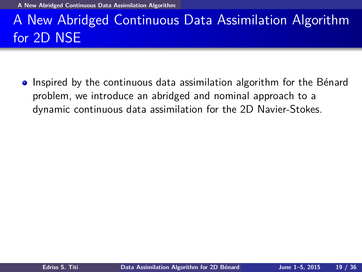**[A New Abridged Continuous Data Assimilation Algorithm](#page-19-0)**

# A New Abridged Continuous Data Assimilation Algorithm for 2D NSE

<span id="page-19-0"></span>• Inspired by the continuous data assimilation algorithm for the Bénard problem, we introduce an abridged and nominal approach to a dynamic continuous data assimilation for the 2D Navier-Stokes.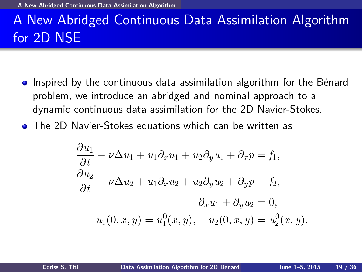**[A New Abridged Continuous Data Assimilation Algorithm](#page-20-0)**

# A New Abridged Continuous Data Assimilation Algorithm for 2D NSE

- Inspired by the continuous data assimilation algorithm for the Bénard problem, we introduce an abridged and nominal approach to a dynamic continuous data assimilation for the 2D Navier-Stokes.
- The 2D Navier-Stokes equations which can be written as

<span id="page-20-0"></span>
$$
\frac{\partial u_1}{\partial t} - \nu \Delta u_1 + u_1 \partial_x u_1 + u_2 \partial_y u_1 + \partial_x p = f_1,
$$
  
\n
$$
\frac{\partial u_2}{\partial t} - \nu \Delta u_2 + u_1 \partial_x u_2 + u_2 \partial_y u_2 + \partial_y p = f_2,
$$
  
\n
$$
\partial_x u_1 + \partial_y u_2 = 0,
$$
  
\n
$$
u_1(0, x, y) = u_1^0(x, y), \quad u_2(0, x, y) = u_2^0(x, y).
$$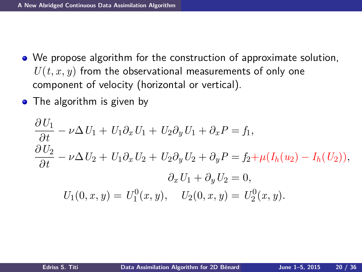- We propose algorithm for the construction of approximate solution,  $U(t, x, y)$  from the observational measurements of only one component of velocity (horizontal or vertical).
- The algorithm is given by

<span id="page-21-0"></span>
$$
\frac{\partial U_1}{\partial t} - \nu \Delta U_1 + U_1 \partial_x U_1 + U_2 \partial_y U_1 + \partial_x P = f_1,\n\frac{\partial U_2}{\partial t} - \nu \Delta U_2 + U_1 \partial_x U_2 + U_2 \partial_y U_2 + \partial_y P = f_2 + \mu (I_h(u_2) - I_h(U_2)),\n\partial_x U_1 + \partial_y U_2 = 0,\nU_1(0, x, y) = U_1^0(x, y), \quad U_2(0, x, y) = U_2^0(x, y).
$$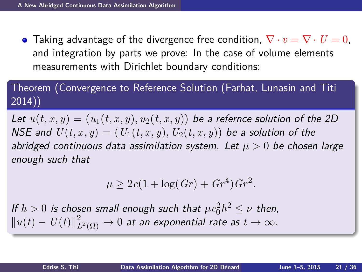**•** Taking advantage of the divergence free condition,  $\nabla \cdot v = \nabla \cdot U = 0$ . and integration by parts we prove: In the case of volume elements measurements with Dirichlet boundary conditions:

Theorem (Convergence to Reference Solution (Farhat, Lunasin and Titi 2014))

Let  $u(t, x, y) = (u_1(t, x, y), u_2(t, x, y))$  be a refernce solution of the 2D NSE and  $U(t, x, y) = (U_1(t, x, y), U_2(t, x, y))$  be a solution of the abridged continuous data assimilation system. Let  $\mu > 0$  be chosen large enough such that

<span id="page-22-0"></span>
$$
\mu \ge 2c(1 + \log(Gr) + Gr^4)Gr^2.
$$

If  $h > 0$  is chosen small enough such that  $\mu c_0^2 h^2 \leq \nu$  then,  $||u(t) - U(t)||_I^2$  $L^2_{L^2(\Omega)}\rightarrow 0$  at an exponential rate as  $t\rightarrow \infty.$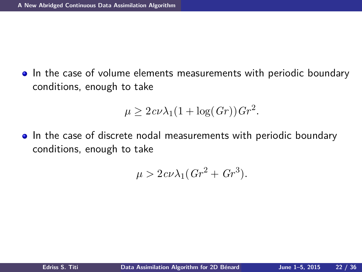• In the case of volume elements measurements with periodic boundary conditions, enough to take

$$
\mu \ge 2c\nu\lambda_1(1+\log(Gr))\,Gr^2.
$$

• In the case of discrete nodal measurements with periodic boundary conditions, enough to take

<span id="page-23-0"></span>
$$
\mu > 2c\nu\lambda_1(Gr^2 + Gr^3).
$$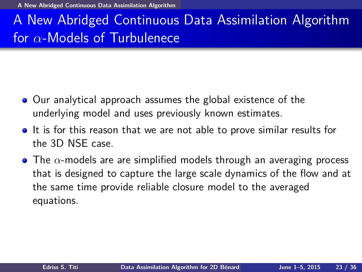**[A New Abridged Continuous Data Assimilation Algorithm](#page-24-0)**

# A New Abridged Continuous Data Assimilation Algorithm for *α*-Models of Turbulenece

- Our analytical approach assumes the global existence of the underlying model and uses previously known estimates.
- It is for this reason that we are not able to prove similar results for the 3D NSE case.
- <span id="page-24-0"></span>The *α*-models are are simplified models through an averaging process that is designed to capture the large scale dynamics of the flow and at the same time provide reliable closure model to the averaged equations.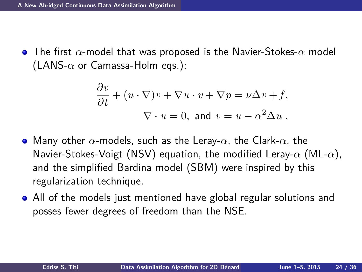The first *α*-model that was proposed is the Navier-Stokes-*α* model (LANS-*α* or Camassa-Holm eqs.):

<span id="page-25-0"></span>
$$
\frac{\partial v}{\partial t} + (u \cdot \nabla)v + \nabla u \cdot v + \nabla p = \nu \Delta v + f,
$$
  

$$
\nabla \cdot u = 0, \text{ and } v = u - \alpha^2 \Delta u,
$$

- Many other *α*-models, such as the Leray-*α*, the Clark-*α*, the Navier-Stokes-Voigt (NSV) equation, the modified Leray-*α* (ML-*α*), and the simplified Bardina model (SBM) were inspired by this regularization technique.
- All of the models just mentioned have global regular solutions and posses fewer degrees of freedom than the NSE.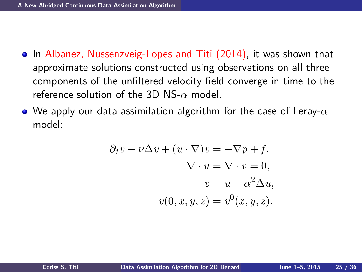- In Albanez, Nussenzveig-Lopes and Titi (2014), it was shown that approximate solutions constructed using observations on all three components of the unfiltered velocity field converge in time to the reference solution of the 3D NS-*α* model.
- We apply our data assimilation algorithm for the case of Leray-*α* model:

<span id="page-26-0"></span>
$$
\partial_t v - \nu \Delta v + (u \cdot \nabla) v = -\nabla p + f,
$$
  

$$
\nabla \cdot u = \nabla \cdot v = 0,
$$
  

$$
v = u - \alpha^2 \Delta u,
$$
  

$$
v(0, x, y, z) = v^0(x, y, z).
$$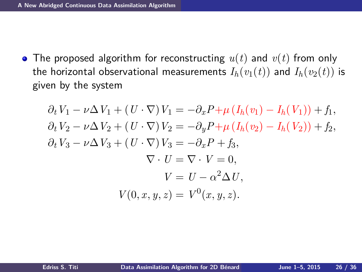The proposed algorithm for reconstructing *u*(*t*) and *v*(*t*) from only the horizontal observational measurements  $I_h(v_1(t))$  and  $I_h(v_2(t))$  is given by the system

<span id="page-27-0"></span>
$$
\partial_t V_1 - \nu \Delta V_1 + (U \cdot \nabla) V_1 = -\partial_x P + \mu (I_h(v_1) - I_h(V_1)) + f_1,
$$
  
\n
$$
\partial_t V_2 - \nu \Delta V_2 + (U \cdot \nabla) V_2 = -\partial_y P + \mu (I_h(v_2) - I_h(V_2)) + f_2,
$$
  
\n
$$
\partial_t V_3 - \nu \Delta V_3 + (U \cdot \nabla) V_3 = -\partial_x P + f_3,
$$
  
\n
$$
\nabla \cdot U = \nabla \cdot V = 0,
$$
  
\n
$$
V = U - \alpha^2 \Delta U,
$$
  
\n
$$
V(0, x, y, z) = V^0(x, y, z).
$$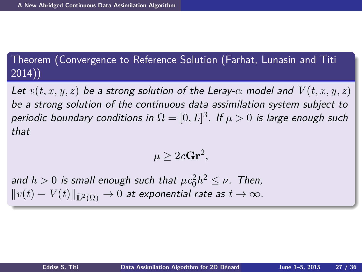## Theorem (Convergence to Reference Solution (Farhat, Lunasin and Titi 2014))

Let  $v(t, x, y, z)$  be a strong solution of the Leray- $\alpha$  model and  $V(t, x, y, z)$ be a strong solution of the continuous data assimilation system subject to periodic boundary conditions in  $\Omega = [0,L]^3$ . If  $\mu > 0$  is large enough such that

<span id="page-28-0"></span>
$$
\mu \geq 2c\mathbf{Gr}^2,
$$

and  $h > 0$  is small enough such that  $\mu c_0^2 h^2 \leq \nu$ . Then,  $\|v(t)-V(t)\|_{\mathbf L^2(\Omega)}\to 0$  at exponential rate as  $t\to\infty.$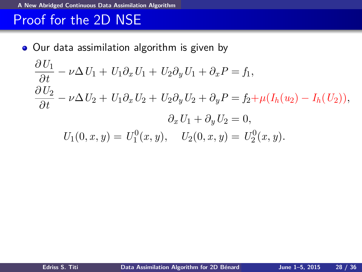#### **[A New Abridged Continuous Data Assimilation Algorithm](#page-29-0)**

## Proof for the 2D NSE

• Our data assimilation algorithm is given by

<span id="page-29-0"></span>
$$
\frac{\partial U_1}{\partial t} - \nu \Delta U_1 + U_1 \partial_x U_1 + U_2 \partial_y U_1 + \partial_x P = f_1,
$$
  
\n
$$
\frac{\partial U_2}{\partial t} - \nu \Delta U_2 + U_1 \partial_x U_2 + U_2 \partial_y U_2 + \partial_y P = f_2 + \mu (I_h(u_2) - I_h(U_2)),
$$
  
\n
$$
\partial_x U_1 + \partial_y U_2 = 0,
$$
  
\n
$$
U_1(0, x, y) = U_1^0(x, y), \quad U_2(0, x, y) = U_2^0(x, y).
$$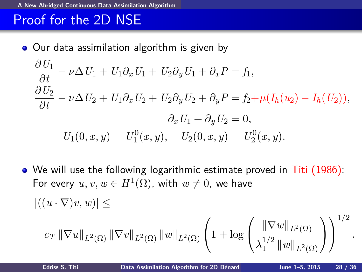#### **[A New Abridged Continuous Data Assimilation Algorithm](#page-30-0)**

# Proof for the 2D NSE

• Our data assimilation algorithm is given by

$$
\frac{\partial U_1}{\partial t} - \nu \Delta U_1 + U_1 \partial_x U_1 + U_2 \partial_y U_1 + \partial_x P = f_1,
$$
  
\n
$$
\frac{\partial U_2}{\partial t} - \nu \Delta U_2 + U_1 \partial_x U_2 + U_2 \partial_y U_2 + \partial_y P = f_2 + \mu (I_h(u_2) - I_h(U_2)),
$$
  
\n
$$
\partial_x U_1 + \partial_y U_2 = 0,
$$
  
\n
$$
U_1(0, x, y) = U_1^0(x, y), \quad U_2(0, x, y) = U_2^0(x, y).
$$

• We will use the following logarithmic estimate proved in Titi (1986): For every  $u,v,w\in H^1(\Omega)$ , with  $w\neq 0$ , we have

$$
|((u \cdot \nabla)v, w)| \leq
$$

<span id="page-30-0"></span>
$$
c_T \|\nabla u\|_{L^2(\Omega)} \|\nabla v\|_{L^2(\Omega)} \|w\|_{L^2(\Omega)} \left(1 + \log \left( \frac{\|\nabla w\|_{L^2(\Omega)}}{\lambda_1^{1/2} \|w\|_{L^2(\Omega)}} \right) \right)^{1/2}.
$$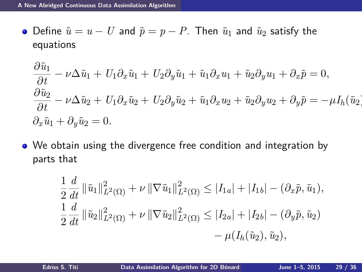• Define  $\tilde{u} = u - U$  and  $\tilde{p} = p - P$ . Then  $\tilde{u}_1$  and  $\tilde{u}_2$  satisfy the equations

$$
\frac{\partial \tilde{u}_1}{\partial t} - \nu \Delta \tilde{u}_1 + U_1 \partial_x \tilde{u}_1 + U_2 \partial_y \tilde{u}_1 + \tilde{u}_1 \partial_x u_1 + \tilde{u}_2 \partial_y u_1 + \partial_x \tilde{p} = 0,
$$
  
\n
$$
\frac{\partial \tilde{u}_2}{\partial t} - \nu \Delta \tilde{u}_2 + U_1 \partial_x \tilde{u}_2 + U_2 \partial_y \tilde{u}_2 + \tilde{u}_1 \partial_x u_2 + \tilde{u}_2 \partial_y u_2 + \partial_y \tilde{p} = -\mu I_h(\tilde{u}_2),
$$
  
\n
$$
\partial_x \tilde{u}_1 + \partial_y \tilde{u}_2 = 0.
$$

• We obtain using the divergence free condition and integration by parts that

<span id="page-31-0"></span>
$$
\frac{1}{2} \frac{d}{dt} \|\tilde{u}_1\|_{L^2(\Omega)}^2 + \nu \|\nabla \tilde{u}_1\|_{L^2(\Omega)}^2 \le |I_{1a}| + |I_{1b}| - (\partial_x \tilde{p}, \tilde{u}_1),
$$
  
\n
$$
\frac{1}{2} \frac{d}{dt} \|\tilde{u}_2\|_{L^2(\Omega)}^2 + \nu \|\nabla \tilde{u}_2\|_{L^2(\Omega)}^2 \le |I_{2a}| + |I_{2b}| - (\partial_y \tilde{p}, \tilde{u}_2)
$$
  
\n
$$
- \mu(I_h(\tilde{u}_2), \tilde{u}_2),
$$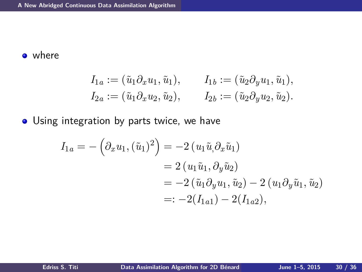#### **o** where

$$
I_{1a} := (\tilde{u}_1 \partial_x u_1, \tilde{u}_1), \qquad I_{1b} := (\tilde{u}_2 \partial_y u_1, \tilde{u}_1),
$$
  
\n
$$
I_{2a} := (\tilde{u}_1 \partial_x u_2, \tilde{u}_2), \qquad I_{2b} := (\tilde{u}_2 \partial_y u_2, \tilde{u}_2).
$$

**.** Using integration by parts twice, we have

<span id="page-32-0"></span>
$$
I_{1a} = -\left(\partial_x u_1, (\tilde{u}_1)^2\right) = -2\left(u_1 \tilde{u}_1 \partial_x \tilde{u}_1\right)
$$
  
= 2\left(u\_1 \tilde{u}\_1, \partial\_y \tilde{u}\_2\right)  
= -2\left(\tilde{u}\_1 \partial\_y u\_1, \tilde{u}\_2\right) - 2\left(u\_1 \partial\_y \tilde{u}\_1, \tilde{u}\_2\right)  
=: -2(I\_{1a1}) - 2(I\_{1a2}),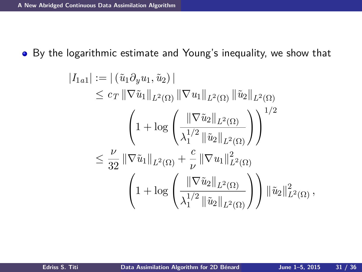By the logarithmic estimate and Young's inequality, we show that

<span id="page-33-0"></span>
$$
|I_{1a1}| := |(\tilde{u}_1 \partial_y u_1, \tilde{u}_2)|
$$
  
\n
$$
\leq c_T \|\nabla \tilde{u}_1\|_{L^2(\Omega)} \|\nabla u_1\|_{L^2(\Omega)} \|\tilde{u}_2\|_{L^2(\Omega)}
$$
  
\n
$$
\left(1 + \log \left(\frac{\|\nabla \tilde{u}_2\|_{L^2(\Omega)}}{\lambda_1^{1/2} \|\tilde{u}_2\|_{L^2(\Omega)}}\right)\right)^{1/2}
$$
  
\n
$$
\leq \frac{\nu}{32} \|\nabla \tilde{u}_1\|_{L^2(\Omega)} + \frac{c}{\nu} \|\nabla u_1\|_{L^2(\Omega)}^2
$$
  
\n
$$
\left(1 + \log \left(\frac{\|\nabla \tilde{u}_2\|_{L^2(\Omega)}}{\lambda_1^{1/2} \|\tilde{u}_2\|_{L^2(\Omega)}}\right)\right) \|\tilde{u}_2\|_{L^2(\Omega)}^2,
$$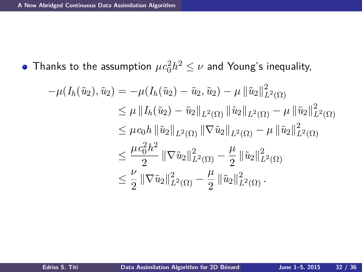Thanks to the assumption  $\mu c_0^2 h^2 \leq \nu$  and Young's inequality,

<span id="page-34-0"></span>
$$
-\mu(I_h(\tilde{u}_2), \tilde{u}_2) = -\mu(I_h(\tilde{u}_2) - \tilde{u}_2, \tilde{u}_2) - \mu \|\tilde{u}_2\|_{L^2(\Omega)}^2
$$
  
\n
$$
\leq \mu \|I_h(\tilde{u}_2) - \tilde{u}_2\|_{L^2(\Omega)} \|\tilde{u}_2\|_{L^2(\Omega)} - \mu \|\tilde{u}_2\|_{L^2(\Omega)}^2
$$
  
\n
$$
\leq \mu c_0 h \|\tilde{u}_2\|_{L^2(\Omega)} \|\nabla \tilde{u}_2\|_{L^2(\Omega)} - \mu \|\tilde{u}_2\|_{L^2(\Omega)}^2
$$
  
\n
$$
\leq \frac{\mu c_0^2 h^2}{2} \|\nabla \tilde{u}_2\|_{L^2(\Omega)}^2 - \frac{\mu}{2} \|\tilde{u}_2\|_{L^2(\Omega)}^2
$$
  
\n
$$
\leq \frac{\nu}{2} \|\nabla \tilde{u}_2\|_{L^2(\Omega)}^2 - \frac{\mu}{2} \|\tilde{u}_2\|_{L^2(\Omega)}^2.
$$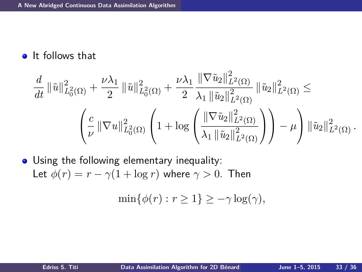**o** It follows that

$$
\frac{d}{dt} \|\tilde{u}\|_{L_0^2(\Omega)}^2 + \frac{\nu \lambda_1}{2} \|\tilde{u}\|_{L_0^2(\Omega)}^2 + \frac{\nu \lambda_1}{2} \frac{\|\nabla \tilde{u}_2\|_{L^2(\Omega)}^2}{\lambda_1 \|\tilde{u}_2\|_{L^2(\Omega)}^2} \|\tilde{u}_2\|_{L^2(\Omega)}^2 \le \left(\frac{c}{\nu} \|\nabla u\|_{L_0^2(\Omega)}^2 \left(1 + \log \left(\frac{\|\nabla \tilde{u}_2\|_{L^2(\Omega)}^2}{\lambda_1 \|\tilde{u}_2\|_{L^2(\Omega)}^2}\right)\right) - \mu\right) \|\tilde{u}_2\|_{L^2(\Omega)}^2.
$$

• Using the following elementary inequality: Let  $\phi(r) = r - \gamma(1 + \log r)$  where  $\gamma > 0$ . Then

<span id="page-35-0"></span>
$$
\min\{\phi(r): r \ge 1\} \ge -\gamma \log(\gamma),
$$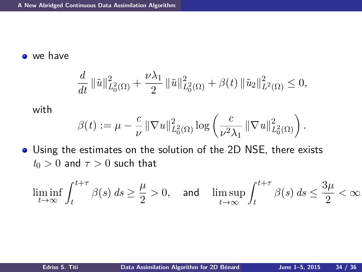o we have

$$
\frac{d}{dt} \left\|\tilde{u}\right\|_{L_0^2(\Omega)}^2 + \frac{\nu\lambda_1}{2} \left\|\tilde{u}\right\|_{L_0^2(\Omega)}^2 + \beta(t) \left\|\tilde{u}_2\right\|_{L^2(\Omega)}^2 \le 0,
$$

with

<span id="page-36-0"></span>
$$
\beta(t):=\mu-\frac{c}{\nu}\left\|\nabla u\right\|_{L_0^2(\Omega)}^2\log\left(\frac{c}{\nu^2\lambda_1}\left\|\nabla u\right\|_{L_0^2(\Omega)}^2\right).
$$

Using the estimates on the solution of the 2D NSE, there exists  $t_0 > 0$  and  $\tau > 0$  such that

$$
\liminf_{t\to\infty}\int_t^{t+\tau}\beta(s)\,ds\geq\frac{\mu}{2}>0,\quad\text{and}\quad\limsup_{t\to\infty}\int_t^{t+\tau}\beta(s)\,ds\leq\frac{3\mu}{2}<\infty.
$$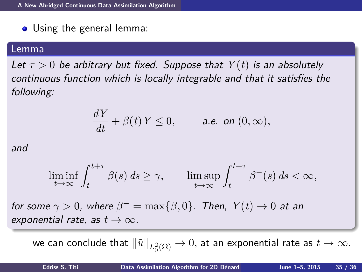• Using the general lemma:

#### Lemma

Let  $\tau > 0$  be arbitrary but fixed. Suppose that  $Y(t)$  is an absolutely continuous function which is locally integrable and that it satisfies the following:

<span id="page-37-0"></span>
$$
\frac{dY}{dt} + \beta(t) Y \le 0, \qquad \text{a.e. on } (0, \infty),
$$

and

$$
\liminf_{t \to \infty} \int_{t}^{t+\tau} \beta(s) \, ds \ge \gamma, \qquad \limsup_{t \to \infty} \int_{t}^{t+\tau} \beta^{-}(s) \, ds < \infty,
$$

for some  $\gamma > 0$ , where  $\beta^- = \max\{\beta, 0\}$ . Then,  $Y(t) \to 0$  at an exponential rate, as  $t \to \infty$ .

we can conclude that  $\|\tilde u\|_{L^2_0(\Omega)}\to 0,$  at an exponential rate as  $t\to\infty.$